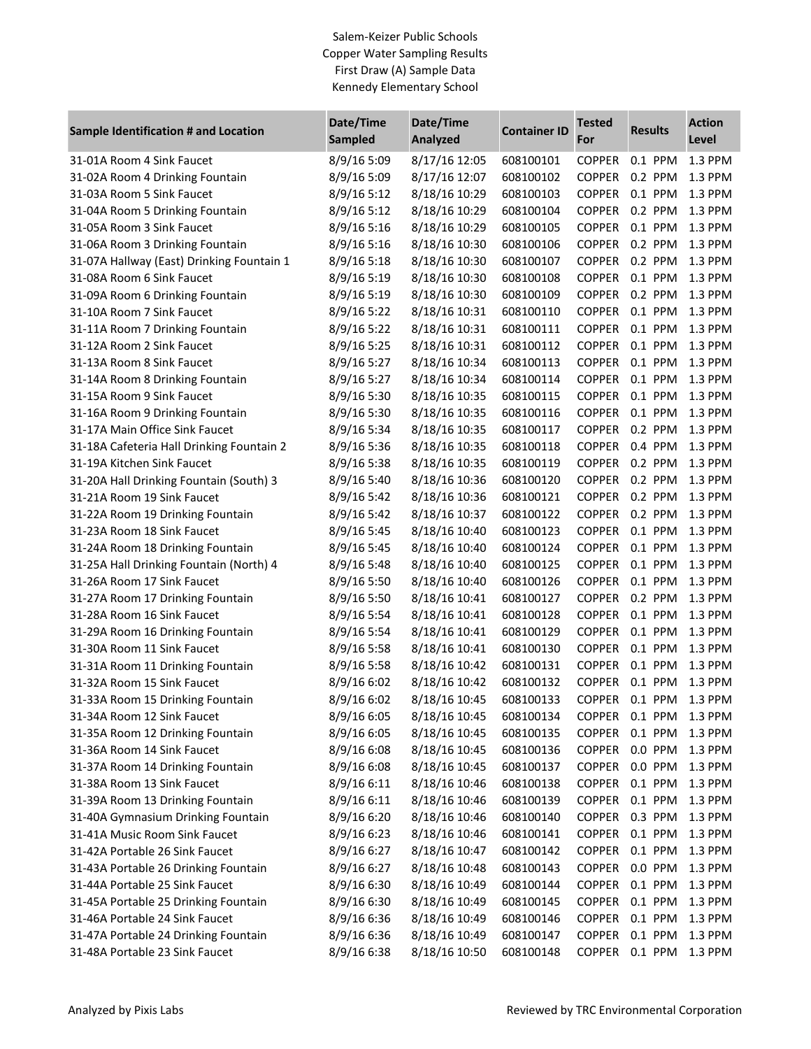## Salem-Keizer Public Schools Copper Water Sampling Results First Draw (A) Sample Data Kennedy Elementary School

| <b>Sample Identification # and Location</b> | Date/Time<br><b>Sampled</b> | Date/Time<br><b>Analyzed</b> | <b>Container ID</b> | <b>Tested</b><br>For | <b>Results</b> | <b>Action</b><br>Level |
|---------------------------------------------|-----------------------------|------------------------------|---------------------|----------------------|----------------|------------------------|
| 31-01A Room 4 Sink Faucet                   | 8/9/16 5:09                 | 8/17/16 12:05                | 608100101           | <b>COPPER</b>        | 0.1 PPM        | 1.3 PPM                |
| 31-02A Room 4 Drinking Fountain             | 8/9/16 5:09                 | 8/17/16 12:07                | 608100102           | <b>COPPER</b>        | 0.2 PPM        | 1.3 PPM                |
| 31-03A Room 5 Sink Faucet                   | 8/9/16 5:12                 | 8/18/16 10:29                | 608100103           | <b>COPPER</b>        | 0.1 PPM        | 1.3 PPM                |
| 31-04A Room 5 Drinking Fountain             | 8/9/16 5:12                 | 8/18/16 10:29                | 608100104           | <b>COPPER</b>        | 0.2 PPM        | 1.3 PPM                |
| 31-05A Room 3 Sink Faucet                   | 8/9/16 5:16                 | 8/18/16 10:29                | 608100105           | <b>COPPER</b>        | 0.1 PPM        | 1.3 PPM                |
| 31-06A Room 3 Drinking Fountain             | 8/9/16 5:16                 | 8/18/16 10:30                | 608100106           | <b>COPPER</b>        | 0.2 PPM        | 1.3 PPM                |
| 31-07A Hallway (East) Drinking Fountain 1   | 8/9/16 5:18                 | 8/18/16 10:30                | 608100107           | <b>COPPER</b>        | 0.2 PPM        | 1.3 PPM                |
| 31-08A Room 6 Sink Faucet                   | 8/9/16 5:19                 | 8/18/16 10:30                | 608100108           | <b>COPPER</b>        | 0.1 PPM        | 1.3 PPM                |
| 31-09A Room 6 Drinking Fountain             | 8/9/16 5:19                 | 8/18/16 10:30                | 608100109           | <b>COPPER</b>        | 0.2 PPM        | 1.3 PPM                |
| 31-10A Room 7 Sink Faucet                   | 8/9/16 5:22                 | 8/18/16 10:31                | 608100110           | <b>COPPER</b>        | 0.1 PPM        | 1.3 PPM                |
| 31-11A Room 7 Drinking Fountain             | 8/9/16 5:22                 | 8/18/16 10:31                | 608100111           | <b>COPPER</b>        | 0.1 PPM        | 1.3 PPM                |
| 31-12A Room 2 Sink Faucet                   | 8/9/16 5:25                 | 8/18/16 10:31                | 608100112           | <b>COPPER</b>        | 0.1 PPM        | 1.3 PPM                |
| 31-13A Room 8 Sink Faucet                   | 8/9/16 5:27                 | 8/18/16 10:34                | 608100113           | <b>COPPER</b>        | 0.1 PPM        | 1.3 PPM                |
| 31-14A Room 8 Drinking Fountain             | 8/9/16 5:27                 | 8/18/16 10:34                | 608100114           | <b>COPPER</b>        | 0.1 PPM        | 1.3 PPM                |
| 31-15A Room 9 Sink Faucet                   | 8/9/16 5:30                 | 8/18/16 10:35                | 608100115           | <b>COPPER</b>        | 0.1 PPM        | 1.3 PPM                |
| 31-16A Room 9 Drinking Fountain             | 8/9/16 5:30                 | 8/18/16 10:35                | 608100116           | <b>COPPER</b>        | 0.1 PPM        | 1.3 PPM                |
| 31-17A Main Office Sink Faucet              | 8/9/16 5:34                 | 8/18/16 10:35                | 608100117           | <b>COPPER</b>        | 0.2 PPM        | 1.3 PPM                |
| 31-18A Cafeteria Hall Drinking Fountain 2   | 8/9/16 5:36                 | 8/18/16 10:35                | 608100118           | <b>COPPER</b>        | 0.4 PPM        | 1.3 PPM                |
| 31-19A Kitchen Sink Faucet                  | 8/9/16 5:38                 | 8/18/16 10:35                | 608100119           | <b>COPPER</b>        | 0.2 PPM        | 1.3 PPM                |
| 31-20A Hall Drinking Fountain (South) 3     | 8/9/16 5:40                 | 8/18/16 10:36                | 608100120           | <b>COPPER</b>        | 0.2 PPM        | 1.3 PPM                |
| 31-21A Room 19 Sink Faucet                  | 8/9/16 5:42                 | 8/18/16 10:36                | 608100121           | <b>COPPER</b>        | 0.2 PPM        | 1.3 PPM                |
| 31-22A Room 19 Drinking Fountain            | 8/9/16 5:42                 | 8/18/16 10:37                | 608100122           | <b>COPPER</b>        | 0.2 PPM        | 1.3 PPM                |
| 31-23A Room 18 Sink Faucet                  | 8/9/16 5:45                 | 8/18/16 10:40                | 608100123           | <b>COPPER</b>        | 0.1 PPM        | 1.3 PPM                |
| 31-24A Room 18 Drinking Fountain            | 8/9/16 5:45                 | 8/18/16 10:40                | 608100124           | <b>COPPER</b>        | $0.1$ PPM      | 1.3 PPM                |
| 31-25A Hall Drinking Fountain (North) 4     | 8/9/16 5:48                 | 8/18/16 10:40                | 608100125           | <b>COPPER</b>        | 0.1 PPM        | 1.3 PPM                |
| 31-26A Room 17 Sink Faucet                  | 8/9/16 5:50                 | 8/18/16 10:40                | 608100126           | <b>COPPER</b>        | 0.1 PPM        | 1.3 PPM                |
| 31-27A Room 17 Drinking Fountain            | 8/9/16 5:50                 | 8/18/16 10:41                | 608100127           | <b>COPPER</b>        | 0.2 PPM        | 1.3 PPM                |
| 31-28A Room 16 Sink Faucet                  | 8/9/16 5:54                 | 8/18/16 10:41                | 608100128           | <b>COPPER</b>        | 0.1 PPM        | 1.3 PPM                |
| 31-29A Room 16 Drinking Fountain            | 8/9/16 5:54                 | 8/18/16 10:41                | 608100129           | <b>COPPER</b>        | 0.1 PPM        | 1.3 PPM                |
| 31-30A Room 11 Sink Faucet                  | 8/9/16 5:58                 | 8/18/16 10:41                | 608100130           | <b>COPPER</b>        | 0.1 PPM        | 1.3 PPM                |
| 31-31A Room 11 Drinking Fountain            | 8/9/16 5:58                 | 8/18/16 10:42                | 608100131           | <b>COPPER</b>        | 0.1 PPM        | 1.3 PPM                |
| 31-32A Room 15 Sink Faucet                  | 8/9/16 6:02                 | 8/18/16 10:42                | 608100132           | <b>COPPER</b>        | 0.1 PPM        | 1.3 PPM                |
| 31-33A Room 15 Drinking Fountain            | 8/9/16 6:02                 | 8/18/16 10:45                | 608100133           | <b>COPPER</b>        | 0.1 PPM        | 1.3 PPM                |
| 31-34A Room 12 Sink Faucet                  | 8/9/16 6:05                 | 8/18/16 10:45                | 608100134           | <b>COPPER</b>        | 0.1 PPM        | 1.3 PPM                |
| 31-35A Room 12 Drinking Fountain            | 8/9/16 6:05                 | 8/18/16 10:45                | 608100135           | <b>COPPER</b>        | 0.1 PPM        | 1.3 PPM                |
| 31-36A Room 14 Sink Faucet                  | 8/9/16 6:08                 | 8/18/16 10:45                | 608100136           | <b>COPPER</b>        | 0.0 PPM        | 1.3 PPM                |
| 31-37A Room 14 Drinking Fountain            | 8/9/16 6:08                 | 8/18/16 10:45                | 608100137           | <b>COPPER</b>        | 0.0 PPM        | 1.3 PPM                |
| 31-38A Room 13 Sink Faucet                  | 8/9/16 6:11                 | 8/18/16 10:46                | 608100138           | <b>COPPER</b>        | 0.1 PPM        | 1.3 PPM                |
| 31-39A Room 13 Drinking Fountain            | 8/9/16 6:11                 | 8/18/16 10:46                | 608100139           | <b>COPPER</b>        | 0.1 PPM        | 1.3 PPM                |
| 31-40A Gymnasium Drinking Fountain          | 8/9/16 6:20                 | 8/18/16 10:46                | 608100140           | <b>COPPER</b>        | 0.3 PPM        | 1.3 PPM                |
| 31-41A Music Room Sink Faucet               | 8/9/16 6:23                 | 8/18/16 10:46                | 608100141           | <b>COPPER</b>        | 0.1 PPM        | 1.3 PPM                |
| 31-42A Portable 26 Sink Faucet              | 8/9/16 6:27                 | 8/18/16 10:47                | 608100142           | <b>COPPER</b>        | 0.1 PPM        | 1.3 PPM                |
| 31-43A Portable 26 Drinking Fountain        | 8/9/16 6:27                 | 8/18/16 10:48                | 608100143           | <b>COPPER</b>        | 0.0 PPM        | 1.3 PPM                |
| 31-44A Portable 25 Sink Faucet              | 8/9/16 6:30                 | 8/18/16 10:49                | 608100144           | <b>COPPER</b>        | 0.1 PPM        | 1.3 PPM                |
| 31-45A Portable 25 Drinking Fountain        | 8/9/16 6:30                 | 8/18/16 10:49                | 608100145           | <b>COPPER</b>        | $0.1$ PPM      | 1.3 PPM                |
| 31-46A Portable 24 Sink Faucet              | 8/9/16 6:36                 | 8/18/16 10:49                | 608100146           | <b>COPPER</b>        | 0.1 PPM        | 1.3 PPM                |
| 31-47A Portable 24 Drinking Fountain        | 8/9/16 6:36                 | 8/18/16 10:49                | 608100147           | <b>COPPER</b>        | 0.1 PPM        | 1.3 PPM                |
| 31-48A Portable 23 Sink Faucet              | 8/9/16 6:38                 | 8/18/16 10:50                | 608100148           | <b>COPPER</b>        | 0.1 PPM        | 1.3 PPM                |
|                                             |                             |                              |                     |                      |                |                        |